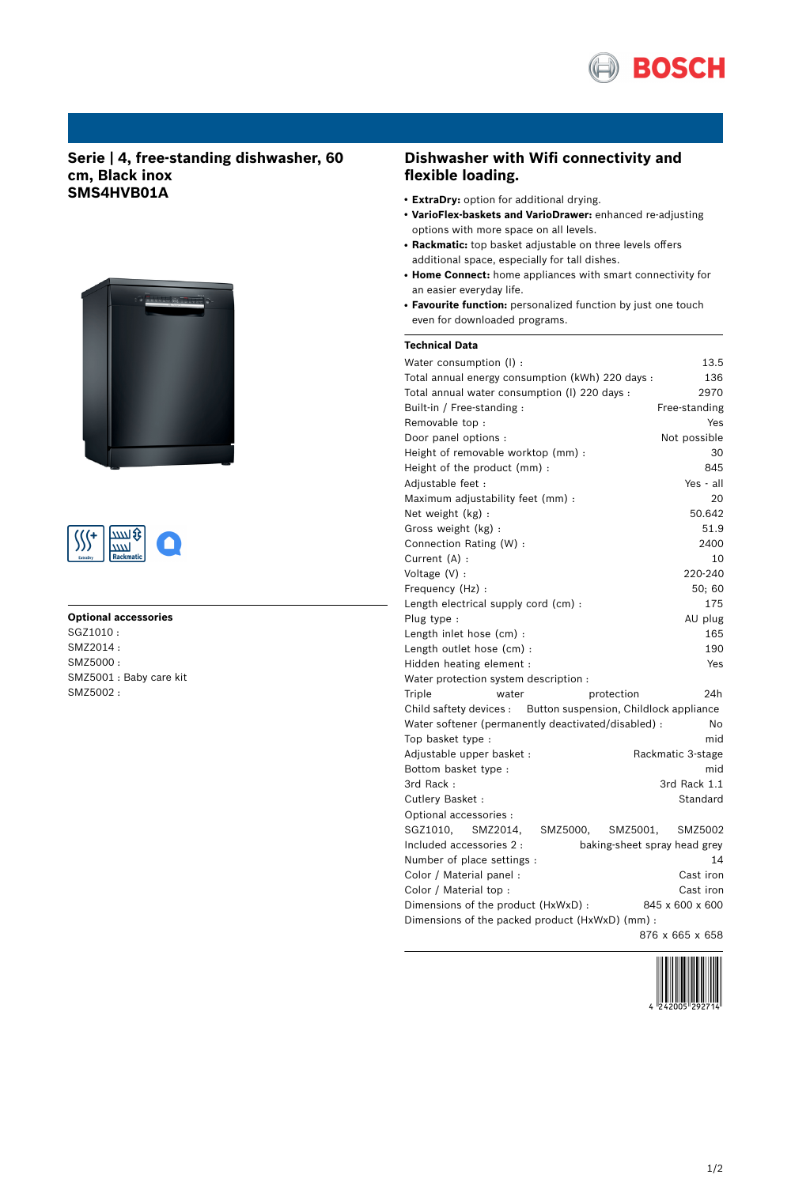

# **Serie | 4, free-standing dishwasher, 60 cm, Black inox SMS4HVB01A**





### **Optional accessories**

SGZ1010 : SMZ2014 : SMZ5000 : SMZ5001 : Baby care kit SMZ5002 :

## **Dishwasher with Wifi connectivity and flexible loading.**

- **ExtraDry:** option for additional drying.
- **VarioFlex-baskets and VarioDrawer:** enhanced re-adjusting options with more space on all levels.
- Rackmatic: top basket adjustable on three levels offers additional space, especially for tall dishes.
- **Home Connect:** home appliances with smart connectivity for an easier everyday life.
- **Favourite function:** personalized function by just one touch even for downloaded programs.

## **Technical Data**

| Water consumption (I) :                                        | 13.5                         |
|----------------------------------------------------------------|------------------------------|
| Total annual energy consumption (kWh) 220 days :               | 136                          |
| Total annual water consumption (I) 220 days :                  | 2970                         |
| Built-in / Free-standing:                                      | Free-standing                |
| Removable top :                                                | Yes                          |
| Door panel options :                                           | Not possible                 |
| Height of removable worktop (mm) :                             | 30                           |
| Height of the product (mm):                                    | 845                          |
| Adjustable feet :                                              | Yes - all                    |
| Maximum adjustability feet (mm) :                              | 20                           |
| Net weight (kg) :                                              | 50.642                       |
| Gross weight (kg):                                             | 51.9                         |
| Connection Rating (W) :                                        | 2400                         |
| Current (A) :                                                  | 10                           |
| Voltage (V) :                                                  | 220-240                      |
| Frequency (Hz) :                                               | 50:60                        |
| Length electrical supply cord (cm) :                           | 175                          |
| Plug type :                                                    | AU plug                      |
| Length inlet hose (cm) :                                       | 165                          |
| Length outlet hose (cm) :                                      | 190                          |
| Hidden heating element :                                       | Yes                          |
| Water protection system description :                          |                              |
| Triple<br>water                                                | 24h<br>protection            |
| Child saftety devices : Button suspension, Childlock appliance |                              |
| Water softener (permanently deactivated/disabled) :            | No                           |
| Top basket type :                                              | mid                          |
| Adjustable upper basket :                                      | Rackmatic 3-stage            |
| Bottom basket type :                                           | mid                          |
| 3rd Rack:                                                      | 3rd Rack 1.1                 |
| Cutlery Basket:                                                | Standard                     |
| Optional accessories :                                         |                              |
| SGZ1010.<br>SMZ2014,<br>SMZ5000,                               | SMZ5001,<br>SMZ5002          |
| Included accessories 2 :                                       | baking-sheet spray head grey |
| Number of place settings :                                     | 14                           |
| Color / Material panel :                                       | Cast iron                    |
| Color / Material top :                                         | Cast iron                    |
| Dimensions of the product (HxWxD) :                            | 845 x 600 x 600              |
| Dimensions of the packed product (HxWxD) (mm) :                |                              |
|                                                                | 876 x 665 x 658              |